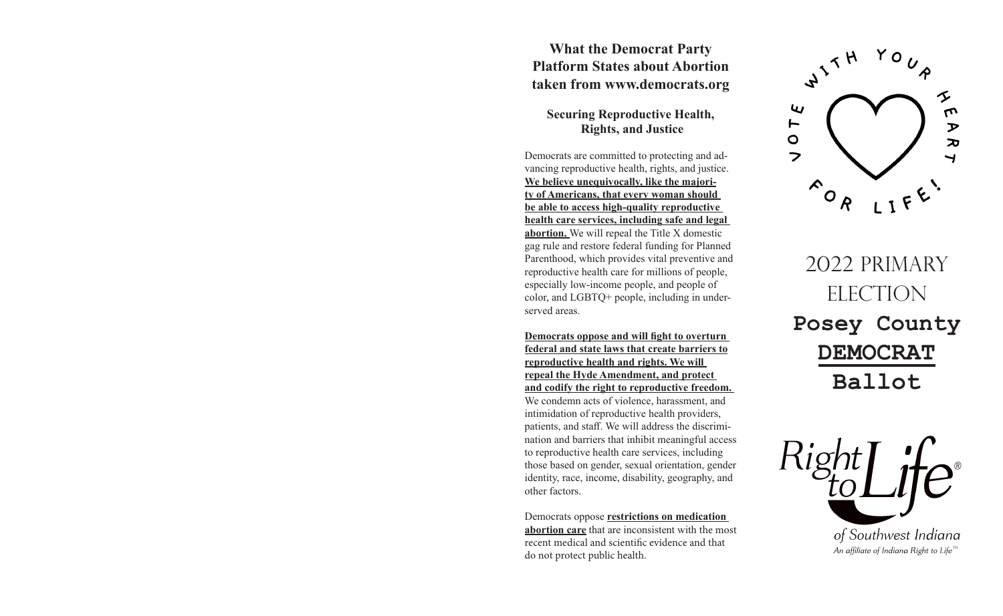## **What the Democrat Party Platform States about Abortion taken from www.democrats.org**

## **Securing Reproductive Health, Rights, and Justice**

Democrats are committed to protecting and advancing reproductive health, rights, and justice. **We believe unequivocally, like the majority of Americans, that every woman should be able to access high-quality reproductive health care services, including safe and legal abortion.** We will repeal the Title X domestic gag rule and restore federal funding for Planned Parenthood, which provides vital preventive and reproductive health care for millions of people, especially low-income people, and people of color, and LGBTQ+ people, including in underserved areas.

**Democrats oppose and will fight to overturn federal and state laws that create barriers to reproductive health and rights. We will repeal the Hyde Amendment, and protect and codify the right to reproductive freedom.** 

We condemn acts of violence, harassment, and intimidation of reproductive health providers, patients, and staff. We will address the discrimination and barriers that inhibit meaningful access to reproductive health care services, including those based on gender, sexual orientation, gender identity, race, income, disability, geography, and other factors.

Democrats oppose **restrictions on medication abortion care** that are inconsistent with the most recent medical and scientific evidence and that do not protect public health.



2022 PRIMARY ELECTION **Posey County DEMOCRAT Ballot**